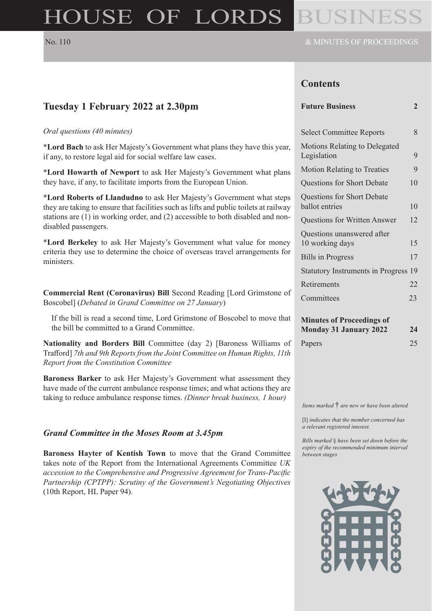# HOUSE OF LORDS

### **Contents**

| Tuesday 1 February 2022 at 2.30pm                                                                                                                                                          | <b>Future Business</b>                                            | $\overline{2}$ |
|--------------------------------------------------------------------------------------------------------------------------------------------------------------------------------------------|-------------------------------------------------------------------|----------------|
| Oral questions (40 minutes)                                                                                                                                                                | <b>Select Committee Reports</b>                                   | 8              |
| *Lord Bach to ask Her Majesty's Government what plans they have this year,<br>if any, to restore legal aid for social welfare law cases.                                                   | Motions Relating to Delegated<br>Legislation                      | 9              |
| *Lord Howarth of Newport to ask Her Majesty's Government what plans<br>they have, if any, to facilitate imports from the European Union.                                                   | <b>Motion Relating to Treaties</b>                                | 9              |
|                                                                                                                                                                                            | Questions for Short Debate                                        | 10             |
| *Lord Roberts of Llandudno to ask Her Majesty's Government what steps<br>they are taking to ensure that facilities such as lifts and public toilets at railway                             | Questions for Short Debate<br>ballot entries                      | 10             |
| stations are (1) in working order, and (2) accessible to both disabled and non-                                                                                                            | Questions for Written Answer                                      | 12             |
| disabled passengers.<br>*Lord Berkeley to ask Her Majesty's Government what value for money<br>criteria they use to determine the choice of overseas travel arrangements for<br>ministers. | Questions unanswered after<br>10 working days                     | 15             |
|                                                                                                                                                                                            | <b>Bills</b> in Progress                                          | 17             |
|                                                                                                                                                                                            | <b>Statutory Instruments in Progress 19</b>                       |                |
|                                                                                                                                                                                            | Retirements                                                       | 22             |
| <b>Commercial Rent (Coronavirus) Bill Second Reading [Lord Grimstone of</b><br>Boscobel] (Debated in Grand Committee on 27 January)                                                        | Committees                                                        | 23             |
| If the bill is read a second time, Lord Grimstone of Boscobel to move that<br>the bill be committed to a Grand Committee.                                                                  | <b>Minutes of Proceedings of</b><br><b>Monday 31 January 2022</b> | 24             |

**Nationality and Borders Bill** Committee (day 2) [Baroness Williams of Trafford] *7th and 9th Reports from the Joint Committee on Human Rights, 11th Report from the Constitution Committee*

**Baroness Barker** to ask Her Majesty's Government what assessment they have made of the current ambulance response times; and what actions they are taking to reduce ambulance response times. *(Dinner break business, 1 hour)*

#### *Grand Committee in the Moses Room at 3.45pm*

**Baroness Hayter of Kentish Town** to move that the Grand Committee takes note of the Report from the International Agreements Committee *UK accession to the Comprehensive and Progressive Agreement for Trans-Pacific Partnership (CPTPP): Scrutiny of the Government's Negotiating Objectives* (10th Report, HL Paper 94).

*Items marked* † *are new or have been altered*

Papers 25

[I] *indicates that the member concerned has a relevant registered interest.*

*Bills marked* § *have been set down before the expiry of the recommended minimum interval between stages*

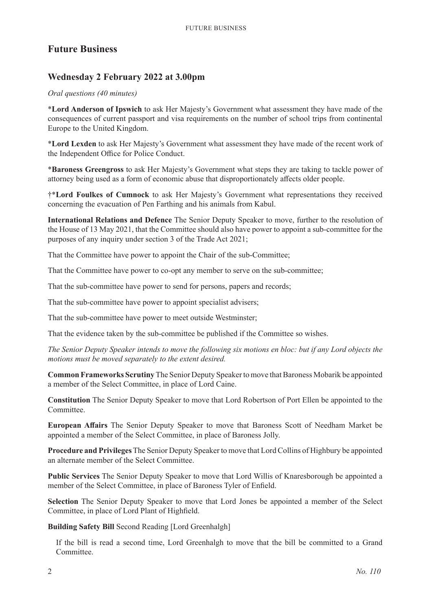### **Future Business**

### **Wednesday 2 February 2022 at 3.00pm**

#### *Oral questions (40 minutes)*

\***Lord Anderson of Ipswich** to ask Her Majesty's Government what assessment they have made of the consequences of current passport and visa requirements on the number of school trips from continental Europe to the United Kingdom.

\***Lord Lexden** to ask Her Majesty's Government what assessment they have made of the recent work of the Independent Office for Police Conduct.

\***Baroness Greengross** to ask Her Majesty's Government what steps they are taking to tackle power of attorney being used as a form of economic abuse that disproportionately affects older people.

†\***Lord Foulkes of Cumnock** to ask Her Majesty's Government what representations they received concerning the evacuation of Pen Farthing and his animals from Kabul.

**International Relations and Defence** The Senior Deputy Speaker to move, further to the resolution of the House of 13 May 2021, that the Committee should also have power to appoint a sub-committee for the purposes of any inquiry under section 3 of the Trade Act 2021;

That the Committee have power to appoint the Chair of the sub-Committee;

That the Committee have power to co-opt any member to serve on the sub-committee;

That the sub-committee have power to send for persons, papers and records;

That the sub-committee have power to appoint specialist advisers;

That the sub-committee have power to meet outside Westminster;

That the evidence taken by the sub-committee be published if the Committee so wishes.

*The Senior Deputy Speaker intends to move the following six motions en bloc: but if any Lord objects the motions must be moved separately to the extent desired.*

**Common Frameworks Scrutiny**The Senior Deputy Speaker to move that Baroness Mobarik be appointed a member of the Select Committee, in place of Lord Caine.

**Constitution** The Senior Deputy Speaker to move that Lord Robertson of Port Ellen be appointed to the Committee.

**European Affairs** The Senior Deputy Speaker to move that Baroness Scott of Needham Market be appointed a member of the Select Committee, in place of Baroness Jolly.

**Procedure and Privileges**The Senior Deputy Speaker to move that Lord Collins of Highbury be appointed an alternate member of the Select Committee.

**Public Services** The Senior Deputy Speaker to move that Lord Willis of Knaresborough be appointed a member of the Select Committee, in place of Baroness Tyler of Enfield.

**Selection** The Senior Deputy Speaker to move that Lord Jones be appointed a member of the Select Committee, in place of Lord Plant of Highfield.

**Building Safety Bill** Second Reading [Lord Greenhalgh]

If the bill is read a second time, Lord Greenhalgh to move that the bill be committed to a Grand Committee.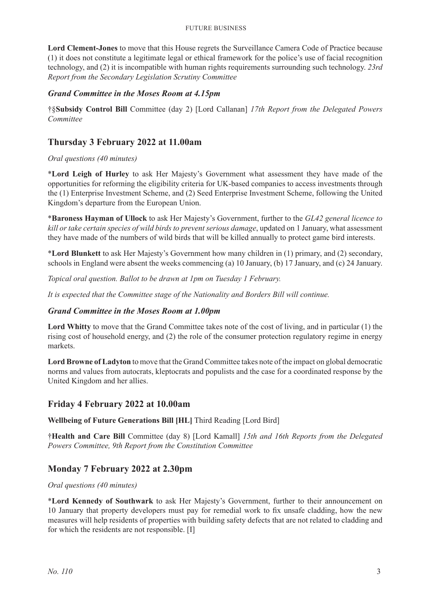#### Future Business

**Lord Clement-Jones** to move that this House regrets the Surveillance Camera Code of Practice because (1) it does not constitute a legitimate legal or ethical framework for the police's use of facial recognition technology, and (2) it is incompatible with human rights requirements surrounding such technology. *23rd Report from the Secondary Legislation Scrutiny Committee*

### *Grand Committee in the Moses Room at 4.15pm*

†§**Subsidy Control Bill** Committee (day 2) [Lord Callanan] *17th Report from the Delegated Powers Committee*

### **Thursday 3 February 2022 at 11.00am**

### *Oral questions (40 minutes)*

\***Lord Leigh of Hurley** to ask Her Majesty's Government what assessment they have made of the opportunities for reforming the eligibility criteria for UK-based companies to access investments through the (1) Enterprise Investment Scheme, and (2) Seed Enterprise Investment Scheme, following the United Kingdom's departure from the European Union.

\***Baroness Hayman of Ullock** to ask Her Majesty's Government, further to the *GL42 general licence to kill or take certain species of wild birds to prevent serious damage*, updated on 1 January, what assessment they have made of the numbers of wild birds that will be killed annually to protect game bird interests.

\***Lord Blunkett** to ask Her Majesty's Government how many children in (1) primary, and (2) secondary, schools in England were absent the weeks commencing (a) 10 January, (b) 17 January, and (c) 24 January.

*Topical oral question. Ballot to be drawn at 1pm on Tuesday 1 February.*

*It is expected that the Committee stage of the Nationality and Borders Bill will continue.* 

### *Grand Committee in the Moses Room at 1.00pm*

**Lord Whitty** to move that the Grand Committee takes note of the cost of living, and in particular (1) the rising cost of household energy, and (2) the role of the consumer protection regulatory regime in energy markets.

**Lord Browne of Ladyton** to move that the Grand Committee takes note of the impact on global democratic norms and values from autocrats, kleptocrats and populists and the case for a coordinated response by the United Kingdom and her allies.

### **Friday 4 February 2022 at 10.00am**

**Wellbeing of Future Generations Bill [HL]** Third Reading [Lord Bird]

†**Health and Care Bill** Committee (day 8) [Lord Kamall] *15th and 16th Reports from the Delegated Powers Committee, 9th Report from the Constitution Committee*

### **Monday 7 February 2022 at 2.30pm**

### *Oral questions (40 minutes)*

\***Lord Kennedy of Southwark** to ask Her Majesty's Government, further to their announcement on 10 January that property developers must pay for remedial work to fix unsafe cladding, how the new measures will help residents of properties with building safety defects that are not related to cladding and for which the residents are not responsible. [I]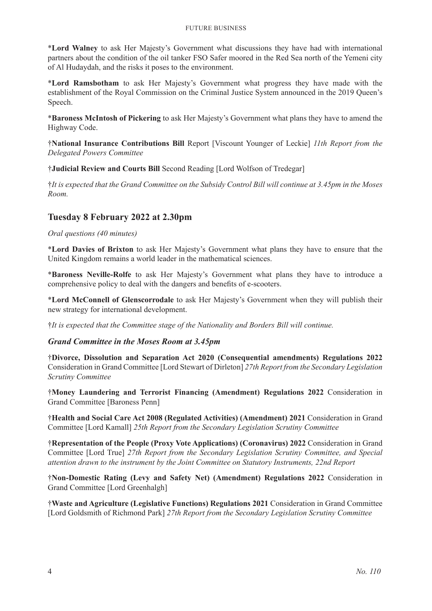#### Future Business

\***Lord Walney** to ask Her Majesty's Government what discussions they have had with international partners about the condition of the oil tanker FSO Safer moored in the Red Sea north of the Yemeni city of Al Hudaydah, and the risks it poses to the environment.

\***Lord Ramsbotham** to ask Her Majesty's Government what progress they have made with the establishment of the Royal Commission on the Criminal Justice System announced in the 2019 Queen's Speech.

\***Baroness McIntosh of Pickering** to ask Her Majesty's Government what plans they have to amend the Highway Code.

†**National Insurance Contributions Bill** Report [Viscount Younger of Leckie] *11th Report from the Delegated Powers Committee*

†**Judicial Review and Courts Bill** Second Reading [Lord Wolfson of Tredegar]

†*It is expected that the Grand Committee on the Subsidy Control Bill will continue at 3.45pm in the Moses Room.*

### **Tuesday 8 February 2022 at 2.30pm**

*Oral questions (40 minutes)*

\***Lord Davies of Brixton** to ask Her Majesty's Government what plans they have to ensure that the United Kingdom remains a world leader in the mathematical sciences.

\***Baroness Neville-Rolfe** to ask Her Majesty's Government what plans they have to introduce a comprehensive policy to deal with the dangers and benefits of e-scooters.

\***Lord McConnell of Glenscorrodale** to ask Her Majesty's Government when they will publish their new strategy for international development.

†*It is expected that the Committee stage of the Nationality and Borders Bill will continue.*

### *Grand Committee in the Moses Room at 3.45pm*

†**Divorce, Dissolution and Separation Act 2020 (Consequential amendments) Regulations 2022** Consideration in Grand Committee [Lord Stewart of Dirleton] *27th Report from the Secondary Legislation Scrutiny Committee*

†**Money Laundering and Terrorist Financing (Amendment) Regulations 2022** Consideration in Grand Committee [Baroness Penn]

†**Health and Social Care Act 2008 (Regulated Activities) (Amendment) 2021** Consideration in Grand Committee [Lord Kamall] *25th Report from the Secondary Legislation Scrutiny Committee*

†**Representation of the People (Proxy Vote Applications) (Coronavirus) 2022** Consideration in Grand Committee [Lord True] *27th Report from the Secondary Legislation Scrutiny Committee, and Special attention drawn to the instrument by the Joint Committee on Statutory Instruments, 22nd Report*

†**Non-Domestic Rating (Levy and Safety Net) (Amendment) Regulations 2022** Consideration in Grand Committee [Lord Greenhalgh]

†**Waste and Agriculture (Legislative Functions) Regulations 2021** Consideration in Grand Committee [Lord Goldsmith of Richmond Park] *27th Report from the Secondary Legislation Scrutiny Committee*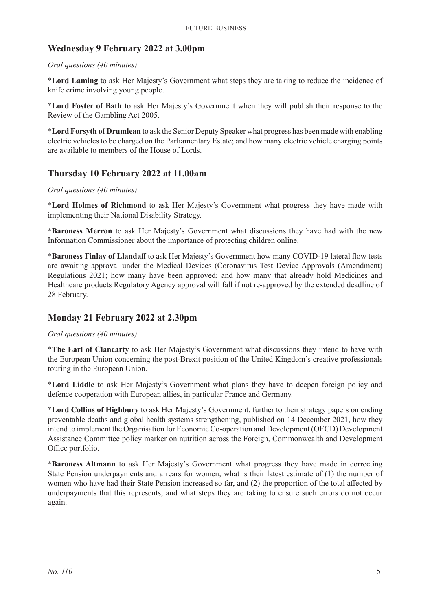### **Wednesday 9 February 2022 at 3.00pm**

#### *Oral questions (40 minutes)*

\***Lord Laming** to ask Her Majesty's Government what steps they are taking to reduce the incidence of knife crime involving young people.

\***Lord Foster of Bath** to ask Her Majesty's Government when they will publish their response to the Review of the Gambling Act 2005.

\***Lord Forsyth of Drumlean** to ask the Senior Deputy Speaker what progress has been made with enabling electric vehicles to be charged on the Parliamentary Estate; and how many electric vehicle charging points are available to members of the House of Lords.

### **Thursday 10 February 2022 at 11.00am**

#### *Oral questions (40 minutes)*

\***Lord Holmes of Richmond** to ask Her Majesty's Government what progress they have made with implementing their National Disability Strategy.

\***Baroness Merron** to ask Her Majesty's Government what discussions they have had with the new Information Commissioner about the importance of protecting children online.

\***Baroness Finlay of Llandaff** to ask Her Majesty's Government how many COVID-19 lateral flow tests are awaiting approval under the Medical Devices (Coronavirus Test Device Approvals (Amendment) Regulations 2021; how many have been approved; and how many that already hold Medicines and Healthcare products Regulatory Agency approval will fall if not re-approved by the extended deadline of 28 February.

### **Monday 21 February 2022 at 2.30pm**

#### *Oral questions (40 minutes)*

\***The Earl of Clancarty** to ask Her Majesty's Government what discussions they intend to have with the European Union concerning the post-Brexit position of the United Kingdom's creative professionals touring in the European Union.

\***Lord Liddle** to ask Her Majesty's Government what plans they have to deepen foreign policy and defence cooperation with European allies, in particular France and Germany.

\***Lord Collins of Highbury** to ask Her Majesty's Government, further to their strategy papers on ending preventable deaths and global health systems strengthening, published on 14 December 2021, how they intend to implement the Organisation for Economic Co-operation and Development (OECD) Development Assistance Committee policy marker on nutrition across the Foreign, Commonwealth and Development Office portfolio.

\***Baroness Altmann** to ask Her Majesty's Government what progress they have made in correcting State Pension underpayments and arrears for women; what is their latest estimate of (1) the number of women who have had their State Pension increased so far, and (2) the proportion of the total affected by underpayments that this represents; and what steps they are taking to ensure such errors do not occur again.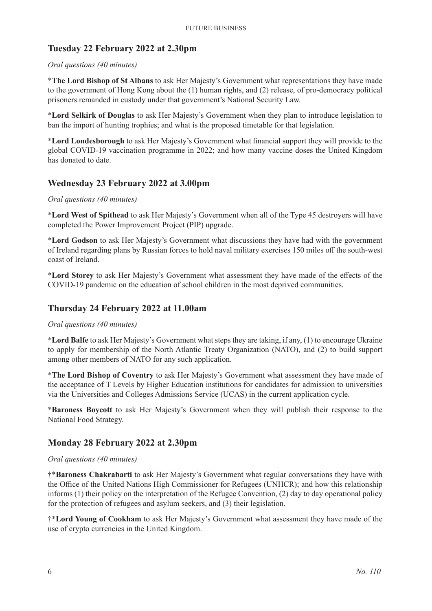### **Tuesday 22 February 2022 at 2.30pm**

#### *Oral questions (40 minutes)*

\***The Lord Bishop of St Albans** to ask Her Majesty's Government what representations they have made to the government of Hong Kong about the (1) human rights, and (2) release, of pro-democracy political prisoners remanded in custody under that government's National Security Law.

\***Lord Selkirk of Douglas** to ask Her Majesty's Government when they plan to introduce legislation to ban the import of hunting trophies; and what is the proposed timetable for that legislation.

\***Lord Londesborough** to ask Her Majesty's Government what financial support they will provide to the global COVID-19 vaccination programme in 2022; and how many vaccine doses the United Kingdom has donated to date.

### **Wednesday 23 February 2022 at 3.00pm**

#### *Oral questions (40 minutes)*

\***Lord West of Spithead** to ask Her Majesty's Government when all of the Type 45 destroyers will have completed the Power Improvement Project (PIP) upgrade.

\***Lord Godson** to ask Her Majesty's Government what discussions they have had with the government of Ireland regarding plans by Russian forces to hold naval military exercises 150 miles off the south-west coast of Ireland.

\***Lord Storey** to ask Her Majesty's Government what assessment they have made of the effects of the COVID-19 pandemic on the education of school children in the most deprived communities.

### **Thursday 24 February 2022 at 11.00am**

#### *Oral questions (40 minutes)*

\***Lord Balfe** to ask Her Majesty's Government what steps they are taking, if any, (1) to encourage Ukraine to apply for membership of the North Atlantic Treaty Organization (NATO), and (2) to build support among other members of NATO for any such application.

\***The Lord Bishop of Coventry** to ask Her Majesty's Government what assessment they have made of the acceptance of T Levels by Higher Education institutions for candidates for admission to universities via the Universities and Colleges Admissions Service (UCAS) in the current application cycle.

\***Baroness Boycott** to ask Her Majesty's Government when they will publish their response to the National Food Strategy.

### **Monday 28 February 2022 at 2.30pm**

#### *Oral questions (40 minutes)*

†\***Baroness Chakrabarti** to ask Her Majesty's Government what regular conversations they have with the Office of the United Nations High Commissioner for Refugees (UNHCR); and how this relationship informs (1) their policy on the interpretation of the Refugee Convention, (2) day to day operational policy for the protection of refugees and asylum seekers, and (3) their legislation.

†\***Lord Young of Cookham** to ask Her Majesty's Government what assessment they have made of the use of crypto currencies in the United Kingdom.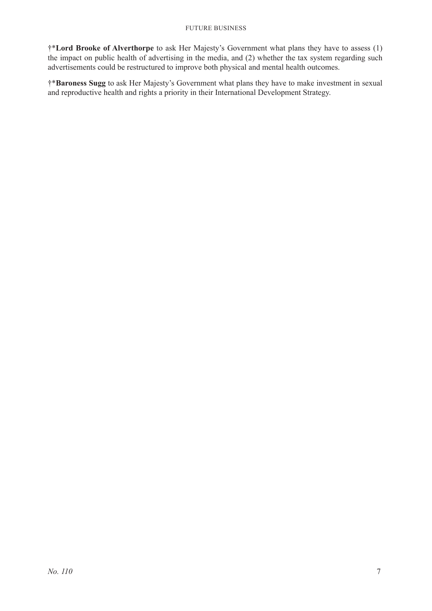†\***Lord Brooke of Alverthorpe** to ask Her Majesty's Government what plans they have to assess (1) the impact on public health of advertising in the media, and (2) whether the tax system regarding such advertisements could be restructured to improve both physical and mental health outcomes.

†\***Baroness Sugg** to ask Her Majesty's Government what plans they have to make investment in sexual and reproductive health and rights a priority in their International Development Strategy.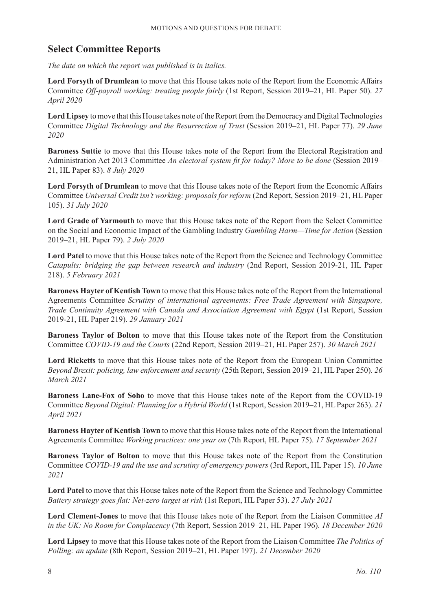### **Select Committee Reports**

*The date on which the report was published is in italics.*

**Lord Forsyth of Drumlean** to move that this House takes note of the Report from the Economic Affairs Committee *Off-payroll working: treating people fairly* (1st Report, Session 2019–21, HL Paper 50). *27 April 2020*

**Lord Lipsey** to move that this House takes note of the Report from the Democracy and Digital Technologies Committee *Digital Technology and the Resurrection of Trust* (Session 2019–21, HL Paper 77). *29 June 2020*

**Baroness Suttie** to move that this House takes note of the Report from the Electoral Registration and Administration Act 2013 Committee *An electoral system fit for today? More to be done* (Session 2019– 21, HL Paper 83). *8 July 2020*

**Lord Forsyth of Drumlean** to move that this House takes note of the Report from the Economic Affairs Committee *Universal Credit isn't working: proposals for reform* (2nd Report, Session 2019–21, HL Paper 105). *31 July 2020*

**Lord Grade of Yarmouth** to move that this House takes note of the Report from the Select Committee on the Social and Economic Impact of the Gambling Industry *Gambling Harm—Time for Action* (Session 2019–21, HL Paper 79). *2 July 2020*

**Lord Patel** to move that this House takes note of the Report from the Science and Technology Committee *Catapults: bridging the gap between research and industry* (2nd Report, Session 2019-21, HL Paper 218). *5 February 2021*

**Baroness Hayter of Kentish Town** to move that this House takes note of the Report from the International Agreements Committee *Scrutiny of international agreements: Free Trade Agreement with Singapore, Trade Continuity Agreement with Canada and Association Agreement with Egypt* (1st Report, Session 2019-21, HL Paper 219). *29 January 2021*

**Baroness Taylor of Bolton** to move that this House takes note of the Report from the Constitution Committee *COVID-19 and the Courts* (22nd Report, Session 2019–21, HL Paper 257). *30 March 2021*

**Lord Ricketts** to move that this House takes note of the Report from the European Union Committee *Beyond Brexit: policing, law enforcement and security* (25th Report, Session 2019–21, HL Paper 250). *26 March 2021*

**Baroness Lane-Fox of Soho** to move that this House takes note of the Report from the COVID-19 Committee *Beyond Digital: Planning for a Hybrid World* (1st Report, Session 2019–21, HL Paper 263). *21 April 2021*

**Baroness Hayter of Kentish Town** to move that this House takes note of the Report from the International Agreements Committee *Working practices: one year on* (7th Report, HL Paper 75). *17 September 2021*

**Baroness Taylor of Bolton** to move that this House takes note of the Report from the Constitution Committee *COVID-19 and the use and scrutiny of emergency powers* (3rd Report, HL Paper 15). *10 June 2021*

**Lord Patel** to move that this House takes note of the Report from the Science and Technology Committee *Battery strategy goes flat: Net-zero target at risk* (1st Report, HL Paper 53). *27 July 2021*

**Lord Clement-Jones** to move that this House takes note of the Report from the Liaison Committee *AI in the UK: No Room for Complacency* (7th Report, Session 2019–21, HL Paper 196). *18 December 2020*

**Lord Lipsey** to move that this House takes note of the Report from the Liaison Committee *The Politics of Polling: an update* (8th Report, Session 2019–21, HL Paper 197). *21 December 2020*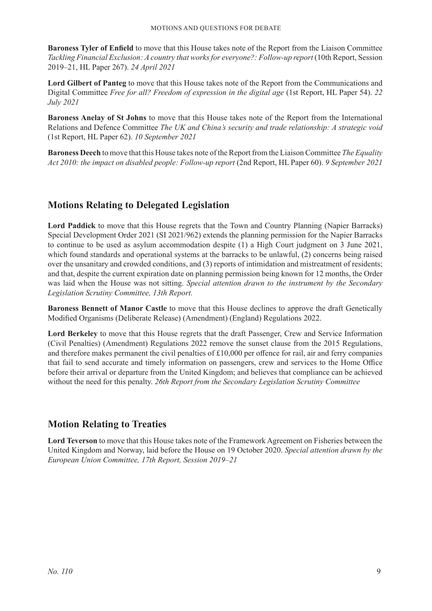**Baroness Tyler of Enfield** to move that this House takes note of the Report from the Liaison Committee *Tackling Financial Exclusion: A country that works for everyone?: Follow-up report* (10th Report, Session 2019–21, HL Paper 267). *24 April 2021*

**Lord Gilbert of Panteg** to move that this House takes note of the Report from the Communications and Digital Committee *Free for all? Freedom of expression in the digital age* (1st Report, HL Paper 54). *22 July 2021*

**Baroness Anelay of St Johns** to move that this House takes note of the Report from the International Relations and Defence Committee *The UK and China's security and trade relationship: A strategic void* (1st Report, HL Paper 62). *10 September 2021*

**Baroness Deech** to move that this House takes note of the Report from the Liaison Committee *The Equality Act 2010: the impact on disabled people: Follow-up report* (2nd Report, HL Paper 60). *9 September 2021*

### **Motions Relating to Delegated Legislation**

**Lord Paddick** to move that this House regrets that the Town and Country Planning (Napier Barracks) Special Development Order 2021 (SI 2021/962) extends the planning permission for the Napier Barracks to continue to be used as asylum accommodation despite (1) a High Court judgment on 3 June 2021, which found standards and operational systems at the barracks to be unlawful, (2) concerns being raised over the unsanitary and crowded conditions, and (3) reports of intimidation and mistreatment of residents; and that, despite the current expiration date on planning permission being known for 12 months, the Order was laid when the House was not sitting. *Special attention drawn to the instrument by the Secondary Legislation Scrutiny Committee, 13th Report.*

**Baroness Bennett of Manor Castle** to move that this House declines to approve the draft Genetically Modified Organisms (Deliberate Release) (Amendment) (England) Regulations 2022.

**Lord Berkeley** to move that this House regrets that the draft Passenger, Crew and Service Information (Civil Penalties) (Amendment) Regulations 2022 remove the sunset clause from the 2015 Regulations, and therefore makes permanent the civil penalties of £10,000 per offence for rail, air and ferry companies that fail to send accurate and timely information on passengers, crew and services to the Home Office before their arrival or departure from the United Kingdom; and believes that compliance can be achieved without the need for this penalty. *26th Report from the Secondary Legislation Scrutiny Committee*

### **Motion Relating to Treaties**

**Lord Teverson** to move that this House takes note of the Framework Agreement on Fisheries between the United Kingdom and Norway, laid before the House on 19 October 2020. *Special attention drawn by the European Union Committee, 17th Report, Session 2019–21*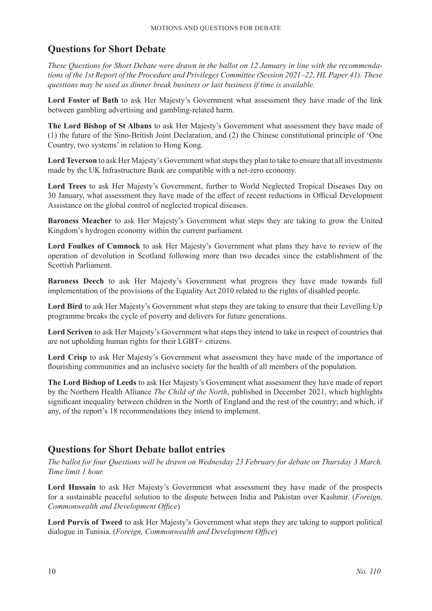### **Questions for Short Debate**

*These Questions for Short Debate were drawn in the ballot on 12 January in line with the recommendations of the 1st Report of the Procedure and Privileges Committee (Session 2021–22, HL Paper 41). These questions may be used as dinner break business or last business if time is available.*

**Lord Foster of Bath** to ask Her Majesty's Government what assessment they have made of the link between gambling advertising and gambling-related harm.

**The Lord Bishop of St Albans** to ask Her Majesty's Government what assessment they have made of (1) the future of the Sino-British Joint Declaration, and (2) the Chinese constitutional principle of 'One Country, two systems' in relation to Hong Kong.

**Lord Teverson** to ask Her Majesty's Government what steps they plan to take to ensure that all investments made by the UK Infrastructure Bank are compatible with a net-zero economy.

**Lord Trees** to ask Her Majesty's Government, further to World Neglected Tropical Diseases Day on 30 January, what assessment they have made of the effect of recent reductions in Official Development Assistance on the global control of neglected tropical diseases.

**Baroness Meacher** to ask Her Majesty's Government what steps they are taking to grow the United Kingdom's hydrogen economy within the current parliament.

**Lord Foulkes of Cumnock** to ask Her Majesty's Government what plans they have to review of the operation of devolution in Scotland following more than two decades since the establishment of the Scottish Parliament.

**Baroness Deech** to ask Her Majesty's Government what progress they have made towards full implementation of the provisions of the Equality Act 2010 related to the rights of disabled people.

**Lord Bird** to ask Her Majesty's Government what steps they are taking to ensure that their Levelling Up programme breaks the cycle of poverty and delivers for future generations.

**Lord Scriven** to ask Her Majesty's Government what steps they intend to take in respect of countries that are not upholding human rights for their LGBT+ citizens.

**Lord Crisp** to ask Her Majesty's Government what assessment they have made of the importance of flourishing communities and an inclusive society for the health of all members of the population.

**The Lord Bishop of Leeds** to ask Her Majesty's Government what assessment they have made of report by the Northern Health Alliance *The Child of the North*, published in December 2021, which highlights significant inequality between children in the North of England and the rest of the country; and which, if any, of the report's 18 recommendations they intend to implement.

### **Questions for Short Debate ballot entries**

*The ballot for four Questions will be drawn on Wednesday 23 February for debate on Thursday 3 March. Time limit 1 hour.*

**Lord Hussain** to ask Her Majesty's Government what assessment they have made of the prospects for a sustainable peaceful solution to the dispute between India and Pakistan over Kashmir. (*Foreign, Commonwealth and Development Office*)

**Lord Purvis of Tweed** to ask Her Majesty's Government what steps they are taking to support political dialogue in Tunisia. (*Foreign, Commonwealth and Development Office*)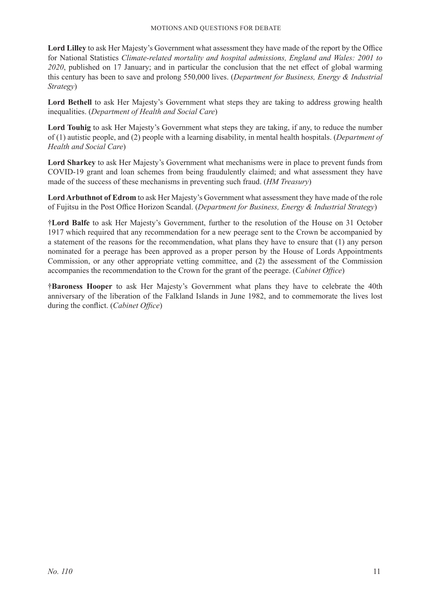**Lord Lilley** to ask Her Majesty's Government what assessment they have made of the report by the Office for National Statistics *Climate-related mortality and hospital admissions, England and Wales: 2001 to 2020*, published on 17 January; and in particular the conclusion that the net effect of global warming this century has been to save and prolong 550,000 lives. (*Department for Business, Energy & Industrial Strategy*)

Lord Bethell to ask Her Majesty's Government what steps they are taking to address growing health inequalities. (*Department of Health and Social Care*)

**Lord Touhig** to ask Her Majesty's Government what steps they are taking, if any, to reduce the number of (1) autistic people, and (2) people with a learning disability, in mental health hospitals. (*Department of Health and Social Care*)

**Lord Sharkey** to ask Her Majesty's Government what mechanisms were in place to prevent funds from COVID-19 grant and loan schemes from being fraudulently claimed; and what assessment they have made of the success of these mechanisms in preventing such fraud. (*HM Treasury*)

**Lord Arbuthnot of Edrom** to ask Her Majesty's Government what assessment they have made of the role of Fujitsu in the Post Office Horizon Scandal. (*Department for Business, Energy & Industrial Strategy*)

†**Lord Balfe** to ask Her Majesty's Government, further to the resolution of the House on 31 October 1917 which required that any recommendation for a new peerage sent to the Crown be accompanied by a statement of the reasons for the recommendation, what plans they have to ensure that (1) any person nominated for a peerage has been approved as a proper person by the House of Lords Appointments Commission, or any other appropriate vetting committee, and (2) the assessment of the Commission accompanies the recommendation to the Crown for the grant of the peerage. (*Cabinet Office*)

†**Baroness Hooper** to ask Her Majesty's Government what plans they have to celebrate the 40th anniversary of the liberation of the Falkland Islands in June 1982, and to commemorate the lives lost during the conflict. (*Cabinet Office*)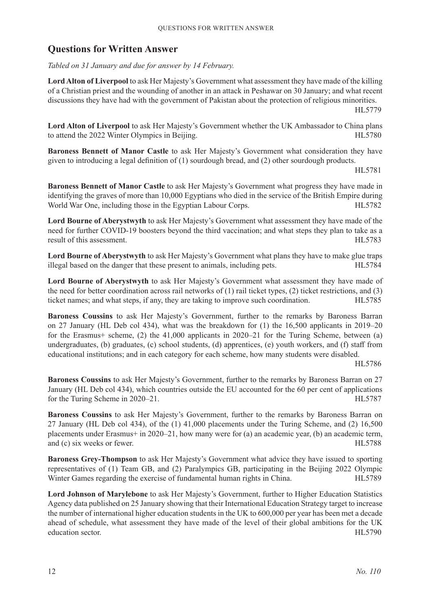### **Questions for Written Answer**

*Tabled on 31 January and due for answer by 14 February.*

**Lord Alton of Liverpool** to ask Her Majesty's Government what assessment they have made of the killing of a Christian priest and the wounding of another in an attack in Peshawar on 30 January; and what recent discussions they have had with the government of Pakistan about the protection of religious minorities.

HL5779

**Lord Alton of Liverpool** to ask Her Majesty's Government whether the UK Ambassador to China plans to attend the 2022 Winter Olympics in Beijing. HL5780

**Baroness Bennett of Manor Castle** to ask Her Majesty's Government what consideration they have given to introducing a legal definition of (1) sourdough bread, and (2) other sourdough products.

HL5781

**Baroness Bennett of Manor Castle** to ask Her Majesty's Government what progress they have made in identifying the graves of more than 10,000 Egyptians who died in the service of the British Empire during World War One, including those in the Egyptian Labour Corps. HL5782

**Lord Bourne of Aberystwyth** to ask Her Majesty's Government what assessment they have made of the need for further COVID-19 boosters beyond the third vaccination; and what steps they plan to take as a result of this assessment. HL5783

**Lord Bourne of Aberystwyth** to ask Her Majesty's Government what plans they have to make glue traps illegal based on the danger that these present to animals, including pets. HL5784

**Lord Bourne of Aberystwyth** to ask Her Majesty's Government what assessment they have made of the need for better coordination across rail networks of (1) rail ticket types, (2) ticket restrictions, and (3) ticket names; and what steps, if any, they are taking to improve such coordination. HL5785

**Baroness Coussins** to ask Her Majesty's Government, further to the remarks by Baroness Barran on 27 January (HL Deb col 434), what was the breakdown for (1) the 16,500 applicants in 2019–20 for the Erasmus+ scheme, (2) the 41,000 applicants in 2020–21 for the Turing Scheme, between (a) undergraduates, (b) graduates, (c) school students, (d) apprentices, (e) youth workers, and (f) staff from educational institutions; and in each category for each scheme, how many students were disabled.

HL5786

**Baroness Coussins** to ask Her Majesty's Government, further to the remarks by Baroness Barran on 27 January (HL Deb col 434), which countries outside the EU accounted for the 60 per cent of applications for the Turing Scheme in 2020–21. HL5787

**Baroness Coussins** to ask Her Majesty's Government, further to the remarks by Baroness Barran on 27 January (HL Deb col 434), of the (1) 41,000 placements under the Turing Scheme, and (2) 16,500 placements under Erasmus+ in 2020–21, how many were for (a) an academic year, (b) an academic term, and (c) six weeks or fewer. HL5788

**Baroness Grey-Thompson** to ask Her Majesty's Government what advice they have issued to sporting representatives of (1) Team GB, and (2) Paralympics GB, participating in the Beijing 2022 Olympic Winter Games regarding the exercise of fundamental human rights in China. HL5789

**Lord Johnson of Marylebone** to ask Her Majesty's Government, further to Higher Education Statistics Agency data published on 25 January showing that their International Education Strategy target to increase the number of international higher education students in the UK to 600,000 per year has been met a decade ahead of schedule, what assessment they have made of the level of their global ambitions for the UK education sector. HL5790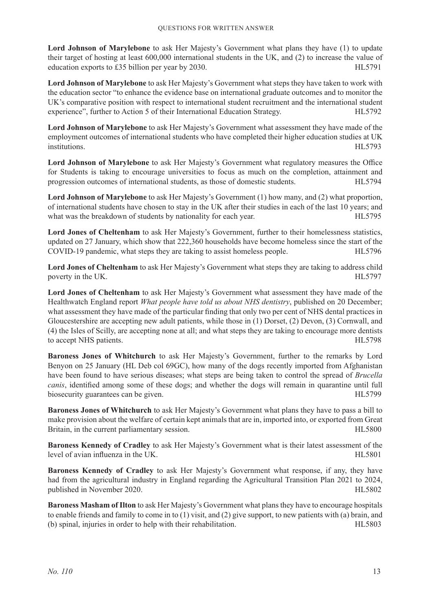**Lord Johnson of Marylebone** to ask Her Majesty's Government what plans they have (1) to update their target of hosting at least 600,000 international students in the UK, and (2) to increase the value of education exports to £35 billion per year by 2030. HL5791

**Lord Johnson of Marylebone** to ask Her Majesty's Government what steps they have taken to work with the education sector "to enhance the evidence base on international graduate outcomes and to monitor the UK's comparative position with respect to international student recruitment and the international student experience", further to Action 5 of their International Education Strategy. HL5792

**Lord Johnson of Marylebone** to ask Her Majesty's Government what assessment they have made of the employment outcomes of international students who have completed their higher education studies at UK institutions. HL5793

**Lord Johnson of Marylebone** to ask Her Majesty's Government what regulatory measures the Office for Students is taking to encourage universities to focus as much on the completion, attainment and progression outcomes of international students, as those of domestic students. HL5794

**Lord Johnson of Marylebone** to ask Her Majesty's Government (1) how many, and (2) what proportion, of international students have chosen to stay in the UK after their studies in each of the last 10 years; and what was the breakdown of students by nationality for each year. HL5795

Lord Jones of Cheltenham to ask Her Majesty's Government, further to their homelessness statistics, updated on 27 January, which show that 222,360 households have become homeless since the start of the COVID-19 pandemic, what steps they are taking to assist homeless people. HL5796

**Lord Jones of Cheltenham** to ask Her Majesty's Government what steps they are taking to address child poverty in the UK. HL5797

**Lord Jones of Cheltenham** to ask Her Majesty's Government what assessment they have made of the Healthwatch England report *What people have told us about NHS dentistry*, published on 20 December; what assessment they have made of the particular finding that only two per cent of NHS dental practices in Gloucestershire are accepting new adult patients, while those in (1) Dorset, (2) Devon, (3) Cornwall, and (4) the Isles of Scilly, are accepting none at all; and what steps they are taking to encourage more dentists to accept NHS patients. HL5798

**Baroness Jones of Whitchurch** to ask Her Majesty's Government, further to the remarks by Lord Benyon on 25 January (HL Deb col 69GC), how many of the dogs recently imported from Afghanistan have been found to have serious diseases; what steps are being taken to control the spread of *Brucella canis*, identified among some of these dogs; and whether the dogs will remain in quarantine until full biosecurity guarantees can be given. The set of the set of the set of the set of the set of the set of the set of the set of the set of the set of the set of the set of the set of the set of the set of the set of the set o

**Baroness Jones of Whitchurch** to ask Her Majesty's Government what plans they have to pass a bill to make provision about the welfare of certain kept animals that are in, imported into, or exported from Great Britain, in the current parliamentary session. The matrix of the state of the state of the state of the state of the state of the state of the state of the state of the state of the state of the state of the state of the s

**Baroness Kennedy of Cradley** to ask Her Majesty's Government what is their latest assessment of the level of avian influenza in the UK.  $\blacksquare$ 

**Baroness Kennedy of Cradley** to ask Her Majesty's Government what response, if any, they have had from the agricultural industry in England regarding the Agricultural Transition Plan 2021 to 2024, published in November 2020. HL5802

**Baroness Masham of Ilton** to ask Her Majesty's Government what plans they have to encourage hospitals to enable friends and family to come in to (1) visit, and (2) give support, to new patients with (a) brain, and (b) spinal, injuries in order to help with their rehabilitation. HL5803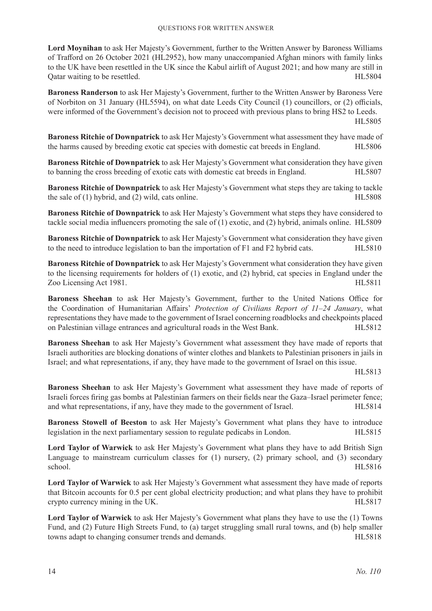**Lord Moynihan** to ask Her Majesty's Government, further to the Written Answer by Baroness Williams of Trafford on 26 October 2021 (HL2952), how many unaccompanied Afghan minors with family links to the UK have been resettled in the UK since the Kabul airlift of August 2021; and how many are still in Quare waiting to be resettled. The settled is a set of the set of the set of the set of the set of the set of the set of the set of the set of the set of the set of the set of the set of the set of the set of the set of th

**Baroness Randerson** to ask Her Majesty's Government, further to the Written Answer by Baroness Vere of Norbiton on 31 January (HL5594), on what date Leeds City Council (1) councillors, or (2) officials, were informed of the Government's decision not to proceed with previous plans to bring HS2 to Leeds.

HL5805

**Baroness Ritchie of Downpatrick** to ask Her Majesty's Government what assessment they have made of the harms caused by breeding exotic cat species with domestic cat breeds in England. HL5806

**Baroness Ritchie of Downpatrick** to ask Her Majesty's Government what consideration they have given to banning the cross breeding of exotic cats with domestic cat breeds in England. HL5807

**Baroness Ritchie of Downpatrick** to ask Her Majesty's Government what steps they are taking to tackle the sale of (1) hybrid, and (2) wild, cats online. HL5808

**Baroness Ritchie of Downpatrick** to ask Her Majesty's Government what steps they have considered to tackle social media influencers promoting the sale of (1) exotic, and (2) hybrid, animals online. HL5809

**Baroness Ritchie of Downpatrick** to ask Her Majesty's Government what consideration they have given to the need to introduce legislation to ban the importation of F1 and F2 hybrid cats. HL5810

**Baroness Ritchie of Downpatrick** to ask Her Majesty's Government what consideration they have given to the licensing requirements for holders of (1) exotic, and (2) hybrid, cat species in England under the Zoo Licensing Act 1981. HL5811

**Baroness Sheehan** to ask Her Majesty's Government, further to the United Nations Office for the Coordination of Humanitarian Affairs' *Protection of Civilians Report of 11–24 January*, what representations they have made to the government of Israel concerning roadblocks and checkpoints placed on Palestinian village entrances and agricultural roads in the West Bank. HL5812

**Baroness Sheehan** to ask Her Majesty's Government what assessment they have made of reports that Israeli authorities are blocking donations of winter clothes and blankets to Palestinian prisoners in jails in Israel; and what representations, if any, they have made to the government of Israel on this issue.

HL5813

**Baroness Sheehan** to ask Her Majesty's Government what assessment they have made of reports of Israeli forces firing gas bombs at Palestinian farmers on their fields near the Gaza–Israel perimeter fence; and what representations, if any, have they made to the government of Israel. HL5814

**Baroness Stowell of Beeston** to ask Her Majesty's Government what plans they have to introduce legislation in the next parliamentary session to regulate pedicabs in London. HL5815

**Lord Taylor of Warwick** to ask Her Majesty's Government what plans they have to add British Sign Language to mainstream curriculum classes for (1) nursery, (2) primary school, and (3) secondary school. HL5816

**Lord Taylor of Warwick** to ask Her Majesty's Government what assessment they have made of reports that Bitcoin accounts for 0.5 per cent global electricity production; and what plans they have to prohibit crypto currency mining in the UK. HL5817

**Lord Taylor of Warwick** to ask Her Majesty's Government what plans they have to use the (1) Towns Fund, and (2) Future High Streets Fund, to (a) target struggling small rural towns, and (b) help smaller towns adapt to changing consumer trends and demands. HL5818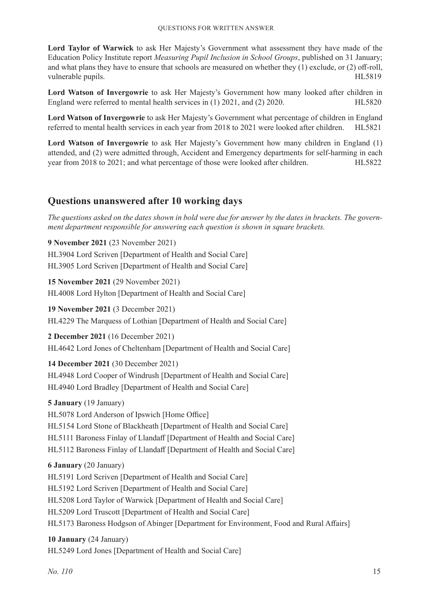**Lord Taylor of Warwick** to ask Her Majesty's Government what assessment they have made of the Education Policy Institute report *Measuring Pupil Inclusion in School Groups*, published on 31 January; and what plans they have to ensure that schools are measured on whether they (1) exclude, or (2) off-roll, vulnerable pupils. HL5819

**Lord Watson of Invergowrie** to ask Her Majesty's Government how many looked after children in England were referred to mental health services in (1) 2021, and (2) 2020. HL5820

**Lord Watson of Invergowrie** to ask Her Majesty's Government what percentage of children in England referred to mental health services in each year from 2018 to 2021 were looked after children. HL5821

**Lord Watson of Invergowrie** to ask Her Majesty's Government how many children in England (1) attended, and (2) were admitted through, Accident and Emergency departments for self-harming in each year from 2018 to 2021; and what percentage of those were looked after children. HL5822

### **Questions unanswered after 10 working days**

*The questions asked on the dates shown in bold were due for answer by the dates in brackets. The government department responsible for answering each question is shown in square brackets.*

**9 November 2021** (23 November 2021) HL3904 Lord Scriven [Department of Health and Social Care] HL3905 Lord Scriven [Department of Health and Social Care]

**15 November 2021** (29 November 2021) HL4008 Lord Hylton [Department of Health and Social Care]

**19 November 2021** (3 December 2021) HL4229 The Marquess of Lothian [Department of Health and Social Care]

**2 December 2021** (16 December 2021) HL4642 Lord Jones of Cheltenham [Department of Health and Social Care]

### **14 December 2021** (30 December 2021)

HL4948 Lord Cooper of Windrush [Department of Health and Social Care] HL4940 Lord Bradley [Department of Health and Social Care]

### **5 January** (19 January)

HL5078 Lord Anderson of Ipswich [Home Office] HL5154 Lord Stone of Blackheath [Department of Health and Social Care] HL5111 Baroness Finlay of Llandaff [Department of Health and Social Care] HL5112 Baroness Finlay of Llandaff [Department of Health and Social Care]

### **6 January** (20 January)

HL5191 Lord Scriven [Department of Health and Social Care] HL5192 Lord Scriven [Department of Health and Social Care] HL5208 Lord Taylor of Warwick [Department of Health and Social Care] HL5209 Lord Truscott [Department of Health and Social Care] HL5173 Baroness Hodgson of Abinger [Department for Environment, Food and Rural Affairs]

### **10 January** (24 January)

HL5249 Lord Jones [Department of Health and Social Care]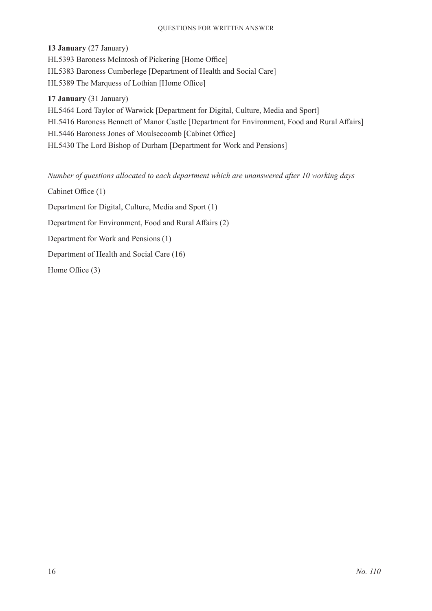#### Questions for Written Answer

**13 January** (27 January)

HL5393 Baroness McIntosh of Pickering [Home Office] HL5383 Baroness Cumberlege [Department of Health and Social Care] HL5389 The Marquess of Lothian [Home Office]

**17 January** (31 January)

HL5464 Lord Taylor of Warwick [Department for Digital, Culture, Media and Sport] HL5416 Baroness Bennett of Manor Castle [Department for Environment, Food and Rural Affairs] HL5446 Baroness Jones of Moulsecoomb [Cabinet Office] HL5430 The Lord Bishop of Durham [Department for Work and Pensions]

*Number of questions allocated to each department which are unanswered after 10 working days*

Cabinet Office (1)

Department for Digital, Culture, Media and Sport (1)

Department for Environment, Food and Rural Affairs (2)

Department for Work and Pensions (1)

Department of Health and Social Care (16)

Home Office (3)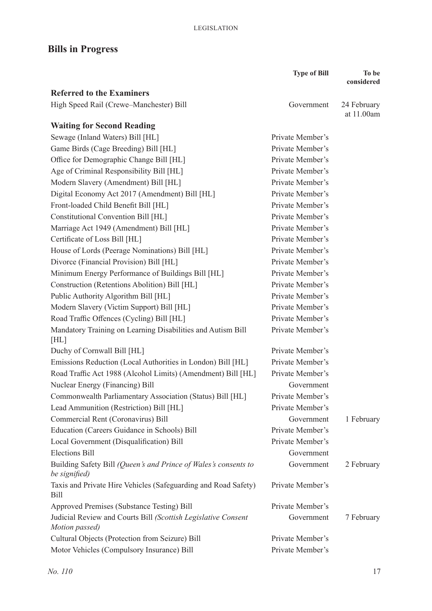## **Bills in Progress**

|                                                                                  | <b>Type of Bill</b> | To be                     |
|----------------------------------------------------------------------------------|---------------------|---------------------------|
|                                                                                  |                     | considered                |
| <b>Referred to the Examiners</b>                                                 |                     |                           |
| High Speed Rail (Crewe-Manchester) Bill                                          | Government          | 24 February<br>at 11.00am |
| <b>Waiting for Second Reading</b>                                                |                     |                           |
| Sewage (Inland Waters) Bill [HL]                                                 | Private Member's    |                           |
| Game Birds (Cage Breeding) Bill [HL]                                             | Private Member's    |                           |
| Office for Demographic Change Bill [HL]                                          | Private Member's    |                           |
| Age of Criminal Responsibility Bill [HL]                                         | Private Member's    |                           |
| Modern Slavery (Amendment) Bill [HL]                                             | Private Member's    |                           |
| Digital Economy Act 2017 (Amendment) Bill [HL]                                   | Private Member's    |                           |
| Front-loaded Child Benefit Bill [HL]                                             | Private Member's    |                           |
| Constitutional Convention Bill [HL]                                              | Private Member's    |                           |
| Marriage Act 1949 (Amendment) Bill [HL]                                          | Private Member's    |                           |
| Certificate of Loss Bill [HL]                                                    | Private Member's    |                           |
| House of Lords (Peerage Nominations) Bill [HL]                                   | Private Member's    |                           |
| Divorce (Financial Provision) Bill [HL]                                          | Private Member's    |                           |
| Minimum Energy Performance of Buildings Bill [HL]                                | Private Member's    |                           |
| Construction (Retentions Abolition) Bill [HL]                                    | Private Member's    |                           |
| Public Authority Algorithm Bill [HL]                                             | Private Member's    |                           |
| Modern Slavery (Victim Support) Bill [HL]                                        | Private Member's    |                           |
| Road Traffic Offences (Cycling) Bill [HL]                                        | Private Member's    |                           |
| Mandatory Training on Learning Disabilities and Autism Bill                      | Private Member's    |                           |
| [HL]                                                                             |                     |                           |
| Duchy of Cornwall Bill [HL]                                                      | Private Member's    |                           |
| Emissions Reduction (Local Authorities in London) Bill [HL]                      | Private Member's    |                           |
| Road Traffic Act 1988 (Alcohol Limits) (Amendment) Bill [HL]                     | Private Member's    |                           |
| Nuclear Energy (Financing) Bill                                                  | Government          |                           |
| Commonwealth Parliamentary Association (Status) Bill [HL]                        | Private Member's    |                           |
| Lead Ammunition (Restriction) Bill [HL]                                          | Private Member's    |                           |
| Commercial Rent (Coronavirus) Bill                                               | Government          | 1 February                |
| Education (Careers Guidance in Schools) Bill                                     | Private Member's    |                           |
| Local Government (Disqualification) Bill                                         | Private Member's    |                           |
| <b>Elections Bill</b>                                                            | Government          |                           |
| Building Safety Bill (Queen's and Prince of Wales's consents to<br>be signified) | Government          | 2 February                |
| Taxis and Private Hire Vehicles (Safeguarding and Road Safety)<br><b>Bill</b>    | Private Member's    |                           |
| Approved Premises (Substance Testing) Bill                                       | Private Member's    |                           |
| Judicial Review and Courts Bill (Scottish Legislative Consent<br>Motion passed)  | Government          | 7 February                |
| Cultural Objects (Protection from Seizure) Bill                                  | Private Member's    |                           |
| Motor Vehicles (Compulsory Insurance) Bill                                       | Private Member's    |                           |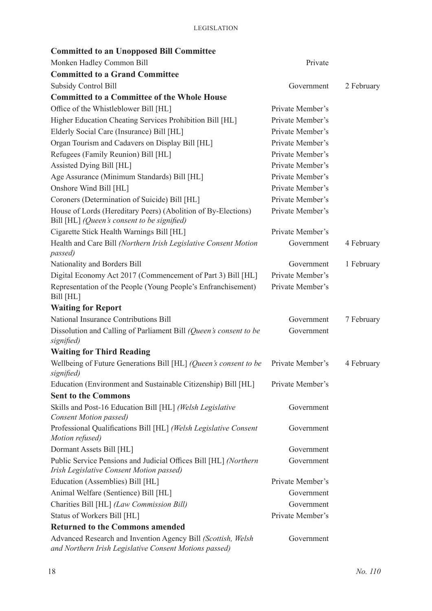| <b>Committed to an Unopposed Bill Committee</b>                                                                        |                  |            |
|------------------------------------------------------------------------------------------------------------------------|------------------|------------|
| Monken Hadley Common Bill                                                                                              | Private          |            |
| <b>Committed to a Grand Committee</b>                                                                                  |                  |            |
| <b>Subsidy Control Bill</b>                                                                                            | Government       | 2 February |
| <b>Committed to a Committee of the Whole House</b>                                                                     |                  |            |
| Office of the Whistleblower Bill [HL]                                                                                  | Private Member's |            |
| Higher Education Cheating Services Prohibition Bill [HL]                                                               | Private Member's |            |
| Elderly Social Care (Insurance) Bill [HL]                                                                              | Private Member's |            |
| Organ Tourism and Cadavers on Display Bill [HL]                                                                        | Private Member's |            |
| Refugees (Family Reunion) Bill [HL]                                                                                    | Private Member's |            |
| Assisted Dying Bill [HL]                                                                                               | Private Member's |            |
| Age Assurance (Minimum Standards) Bill [HL]                                                                            | Private Member's |            |
| Onshore Wind Bill [HL]                                                                                                 | Private Member's |            |
| Coroners (Determination of Suicide) Bill [HL]                                                                          | Private Member's |            |
| House of Lords (Hereditary Peers) (Abolition of By-Elections)<br>Bill [HL] (Queen's consent to be signified)           | Private Member's |            |
| Cigarette Stick Health Warnings Bill [HL]                                                                              | Private Member's |            |
| Health and Care Bill (Northern Irish Legislative Consent Motion<br><i>passed</i> )                                     | Government       | 4 February |
| Nationality and Borders Bill                                                                                           | Government       | 1 February |
| Digital Economy Act 2017 (Commencement of Part 3) Bill [HL]                                                            | Private Member's |            |
| Representation of the People (Young People's Enfranchisement)<br>Bill [HL]                                             | Private Member's |            |
| <b>Waiting for Report</b>                                                                                              |                  |            |
| National Insurance Contributions Bill                                                                                  | Government       | 7 February |
| Dissolution and Calling of Parliament Bill (Queen's consent to be<br>signified)                                        | Government       |            |
| <b>Waiting for Third Reading</b>                                                                                       |                  |            |
| Wellbeing of Future Generations Bill [HL] (Queen's consent to be<br>signified)                                         | Private Member's | 4 February |
| Education (Environment and Sustainable Citizenship) Bill [HL]                                                          | Private Member's |            |
| <b>Sent to the Commons</b>                                                                                             |                  |            |
| Skills and Post-16 Education Bill [HL] (Welsh Legislative<br><b>Consent Motion passed)</b>                             | Government       |            |
| Professional Qualifications Bill [HL] (Welsh Legislative Consent<br>Motion refused)                                    | Government       |            |
| Dormant Assets Bill [HL]                                                                                               | Government       |            |
| Public Service Pensions and Judicial Offices Bill [HL] (Northern<br>Irish Legislative Consent Motion passed)           | Government       |            |
| Education (Assemblies) Bill [HL]                                                                                       | Private Member's |            |
| Animal Welfare (Sentience) Bill [HL]                                                                                   | Government       |            |
| Charities Bill [HL] (Law Commission Bill)                                                                              | Government       |            |
| Status of Workers Bill [HL]                                                                                            | Private Member's |            |
| <b>Returned to the Commons amended</b>                                                                                 |                  |            |
| Advanced Research and Invention Agency Bill (Scottish, Welsh<br>and Northern Irish Legislative Consent Motions passed) | Government       |            |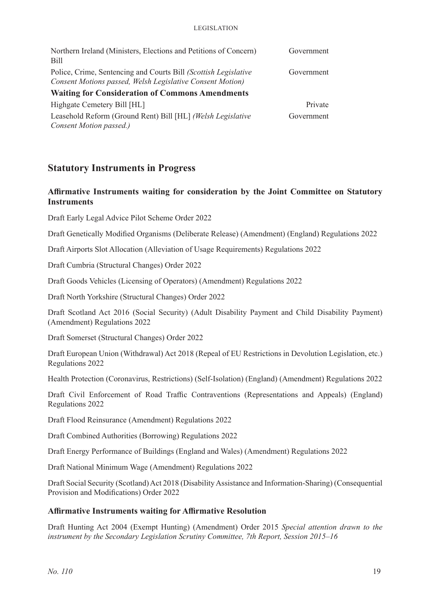#### Legislation

| Northern Ireland (Ministers, Elections and Petitions of Concern)<br>Bill | Government |  |  |
|--------------------------------------------------------------------------|------------|--|--|
| Police, Crime, Sentencing and Courts Bill (Scottish Legislative          | Government |  |  |
| Consent Motions passed, Welsh Legislative Consent Motion)                |            |  |  |
| <b>Waiting for Consideration of Commons Amendments</b>                   |            |  |  |
| Highgate Cemetery Bill [HL]                                              | Private    |  |  |
| Leasehold Reform (Ground Rent) Bill [HL] (Welsh Legislative              | Government |  |  |
| Consent Motion passed.)                                                  |            |  |  |

### **Statutory Instruments in Progress**

### **Affirmative Instruments waiting for consideration by the Joint Committee on Statutory Instruments**

Draft Early Legal Advice Pilot Scheme Order 2022

Draft Genetically Modified Organisms (Deliberate Release) (Amendment) (England) Regulations 2022

Draft Airports Slot Allocation (Alleviation of Usage Requirements) Regulations 2022

Draft Cumbria (Structural Changes) Order 2022

Draft Goods Vehicles (Licensing of Operators) (Amendment) Regulations 2022

Draft North Yorkshire (Structural Changes) Order 2022

Draft Scotland Act 2016 (Social Security) (Adult Disability Payment and Child Disability Payment) (Amendment) Regulations 2022

Draft Somerset (Structural Changes) Order 2022

Draft European Union (Withdrawal) Act 2018 (Repeal of EU Restrictions in Devolution Legislation, etc.) Regulations 2022

Health Protection (Coronavirus, Restrictions) (Self-Isolation) (England) (Amendment) Regulations 2022

Draft Civil Enforcement of Road Traffic Contraventions (Representations and Appeals) (England) Regulations 2022

Draft Flood Reinsurance (Amendment) Regulations 2022

Draft Combined Authorities (Borrowing) Regulations 2022

Draft Energy Performance of Buildings (England and Wales) (Amendment) Regulations 2022

Draft National Minimum Wage (Amendment) Regulations 2022

Draft Social Security (Scotland) Act 2018 (Disability Assistance and Information-Sharing) (Consequential Provision and Modifications) Order 2022

### **Affirmative Instruments waiting for Affirmative Resolution**

Draft Hunting Act 2004 (Exempt Hunting) (Amendment) Order 2015 *Special attention drawn to the instrument by the Secondary Legislation Scrutiny Committee, 7th Report, Session 2015–16*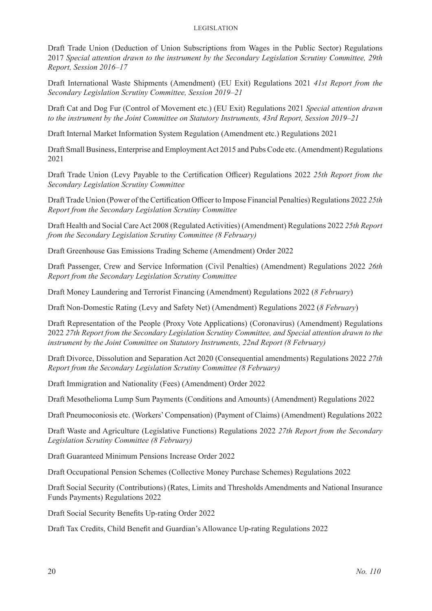#### Legislation

Draft Trade Union (Deduction of Union Subscriptions from Wages in the Public Sector) Regulations 2017 *Special attention drawn to the instrument by the Secondary Legislation Scrutiny Committee, 29th Report, Session 2016–17*

Draft International Waste Shipments (Amendment) (EU Exit) Regulations 2021 *41st Report from the Secondary Legislation Scrutiny Committee, Session 2019–21*

Draft Cat and Dog Fur (Control of Movement etc.) (EU Exit) Regulations 2021 *Special attention drawn to the instrument by the Joint Committee on Statutory Instruments, 43rd Report, Session 2019–21*

Draft Internal Market Information System Regulation (Amendment etc.) Regulations 2021

Draft Small Business, Enterprise and Employment Act 2015 and Pubs Code etc. (Amendment) Regulations 2021

Draft Trade Union (Levy Payable to the Certification Officer) Regulations 2022 *25th Report from the Secondary Legislation Scrutiny Committee*

DraftTrade Union (Power of the Certification Officer to Impose Financial Penalties) Regulations 2022 *25th Report from the Secondary Legislation Scrutiny Committee*

Draft Health and Social Care Act 2008 (Regulated Activities) (Amendment) Regulations 2022 *25th Report from the Secondary Legislation Scrutiny Committee (8 February)*

Draft Greenhouse Gas Emissions Trading Scheme (Amendment) Order 2022

Draft Passenger, Crew and Service Information (Civil Penalties) (Amendment) Regulations 2022 *26th Report from the Secondary Legislation Scrutiny Committee*

Draft Money Laundering and Terrorist Financing (Amendment) Regulations 2022 (*8 February*)

Draft Non-Domestic Rating (Levy and Safety Net) (Amendment) Regulations 2022 (*8 February*)

Draft Representation of the People (Proxy Vote Applications) (Coronavirus) (Amendment) Regulations 2022 *27th Report from the Secondary Legislation Scrutiny Committee, and Special attention drawn to the instrument by the Joint Committee on Statutory Instruments, 22nd Report (8 February)*

Draft Divorce, Dissolution and Separation Act 2020 (Consequential amendments) Regulations 2022 *27th Report from the Secondary Legislation Scrutiny Committee (8 February)*

Draft Immigration and Nationality (Fees) (Amendment) Order 2022

Draft Mesothelioma Lump Sum Payments (Conditions and Amounts) (Amendment) Regulations 2022

Draft Pneumoconiosis etc. (Workers' Compensation) (Payment of Claims) (Amendment) Regulations 2022

Draft Waste and Agriculture (Legislative Functions) Regulations 2022 *27th Report from the Secondary Legislation Scrutiny Committee (8 February)*

Draft Guaranteed Minimum Pensions Increase Order 2022

Draft Occupational Pension Schemes (Collective Money Purchase Schemes) Regulations 2022

Draft Social Security (Contributions) (Rates, Limits and Thresholds Amendments and National Insurance Funds Payments) Regulations 2022

Draft Social Security Benefits Up-rating Order 2022

Draft Tax Credits, Child Benefit and Guardian's Allowance Up-rating Regulations 2022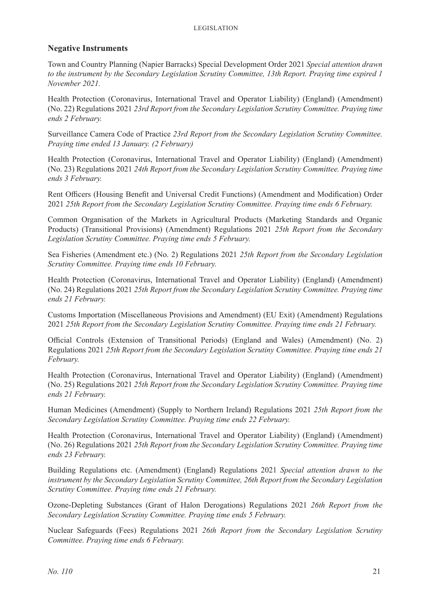### **Negative Instruments**

Town and Country Planning (Napier Barracks) Special Development Order 2021 *Special attention drawn to the instrument by the Secondary Legislation Scrutiny Committee, 13th Report. Praying time expired 1 November 2021.*

Health Protection (Coronavirus, International Travel and Operator Liability) (England) (Amendment) (No. 22) Regulations 2021 *23rd Report from the Secondary Legislation Scrutiny Committee. Praying time ends 2 February.*

Surveillance Camera Code of Practice *23rd Report from the Secondary Legislation Scrutiny Committee. Praying time ended 13 January. (2 February)*

Health Protection (Coronavirus, International Travel and Operator Liability) (England) (Amendment) (No. 23) Regulations 2021 *24th Report from the Secondary Legislation Scrutiny Committee. Praying time ends 3 February.*

Rent Officers (Housing Benefit and Universal Credit Functions) (Amendment and Modification) Order 2021 *25th Report from the Secondary Legislation Scrutiny Committee. Praying time ends 6 February.*

Common Organisation of the Markets in Agricultural Products (Marketing Standards and Organic Products) (Transitional Provisions) (Amendment) Regulations 2021 *25th Report from the Secondary Legislation Scrutiny Committee. Praying time ends 5 February.*

Sea Fisheries (Amendment etc.) (No. 2) Regulations 2021 *25th Report from the Secondary Legislation Scrutiny Committee. Praying time ends 10 February.*

Health Protection (Coronavirus, International Travel and Operator Liability) (England) (Amendment) (No. 24) Regulations 2021 *25th Report from the Secondary Legislation Scrutiny Committee. Praying time ends 21 February.*

Customs Importation (Miscellaneous Provisions and Amendment) (EU Exit) (Amendment) Regulations 2021 *25th Report from the Secondary Legislation Scrutiny Committee. Praying time ends 21 February.*

Official Controls (Extension of Transitional Periods) (England and Wales) (Amendment) (No. 2) Regulations 2021 *25th Report from the Secondary Legislation Scrutiny Committee. Praying time ends 21 February.*

Health Protection (Coronavirus, International Travel and Operator Liability) (England) (Amendment) (No. 25) Regulations 2021 *25th Report from the Secondary Legislation Scrutiny Committee. Praying time ends 21 February.*

Human Medicines (Amendment) (Supply to Northern Ireland) Regulations 2021 *25th Report from the Secondary Legislation Scrutiny Committee. Praying time ends 22 February.*

Health Protection (Coronavirus, International Travel and Operator Liability) (England) (Amendment) (No. 26) Regulations 2021 *25th Report from the Secondary Legislation Scrutiny Committee. Praying time ends 23 February.*

Building Regulations etc. (Amendment) (England) Regulations 2021 *Special attention drawn to the instrument by the Secondary Legislation Scrutiny Committee, 26th Report from the Secondary Legislation Scrutiny Committee. Praying time ends 21 February.*

Ozone-Depleting Substances (Grant of Halon Derogations) Regulations 2021 *26th Report from the Secondary Legislation Scrutiny Committee. Praying time ends 5 February.*

Nuclear Safeguards (Fees) Regulations 2021 *26th Report from the Secondary Legislation Scrutiny Committee. Praying time ends 6 February.*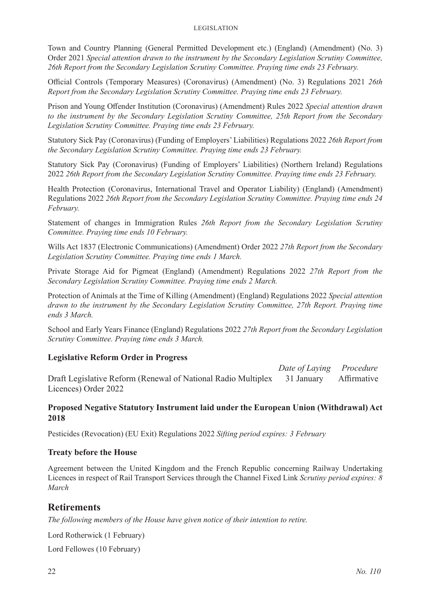Town and Country Planning (General Permitted Development etc.) (England) (Amendment) (No. 3) Order 2021 *Special attention drawn to the instrument by the Secondary Legislation Scrutiny Committee, 26th Report from the Secondary Legislation Scrutiny Committee. Praying time ends 23 February.*

Official Controls (Temporary Measures) (Coronavirus) (Amendment) (No. 3) Regulations 2021 *26th Report from the Secondary Legislation Scrutiny Committee. Praying time ends 23 February.*

Prison and Young Offender Institution (Coronavirus) (Amendment) Rules 2022 *Special attention drawn to the instrument by the Secondary Legislation Scrutiny Committee, 25th Report from the Secondary Legislation Scrutiny Committee. Praying time ends 23 February.*

Statutory Sick Pay (Coronavirus) (Funding of Employers' Liabilities) Regulations 2022 *26th Report from the Secondary Legislation Scrutiny Committee. Praying time ends 23 February.*

Statutory Sick Pay (Coronavirus) (Funding of Employers' Liabilities) (Northern Ireland) Regulations 2022 *26th Report from the Secondary Legislation Scrutiny Committee. Praying time ends 23 February.*

Health Protection (Coronavirus, International Travel and Operator Liability) (England) (Amendment) Regulations 2022 *26th Report from the Secondary Legislation Scrutiny Committee. Praying time ends 24 February.*

Statement of changes in Immigration Rules *26th Report from the Secondary Legislation Scrutiny Committee. Praying time ends 10 February.*

Wills Act 1837 (Electronic Communications) (Amendment) Order 2022 *27th Report from the Secondary Legislation Scrutiny Committee. Praying time ends 1 March.*

Private Storage Aid for Pigmeat (England) (Amendment) Regulations 2022 *27th Report from the Secondary Legislation Scrutiny Committee. Praying time ends 2 March.*

Protection of Animals at the Time of Killing (Amendment) (England) Regulations 2022 *Special attention drawn to the instrument by the Secondary Legislation Scrutiny Committee, 27th Report. Praying time ends 3 March.*

School and Early Years Finance (England) Regulations 2022 *27th Report from the Secondary Legislation Scrutiny Committee. Praying time ends 3 March.*

### **Legislative Reform Order in Progress**

 *Date of Laying Procedure* Draft Legislative Reform (Renewal of National Radio Multiplex 31 January Affirmative Licences) Order 2022

### **Proposed Negative Statutory Instrument laid under the European Union (Withdrawal) Act 2018**

Pesticides (Revocation) (EU Exit) Regulations 2022 *Sifting period expires: 3 February*

#### **Treaty before the House**

Agreement between the United Kingdom and the French Republic concerning Railway Undertaking Licences in respect of Rail Transport Services through the Channel Fixed Link *Scrutiny period expires: 8 March*

### **Retirements**

*The following members of the House have given notice of their intention to retire.*

Lord Rotherwick (1 February)

Lord Fellowes (10 February)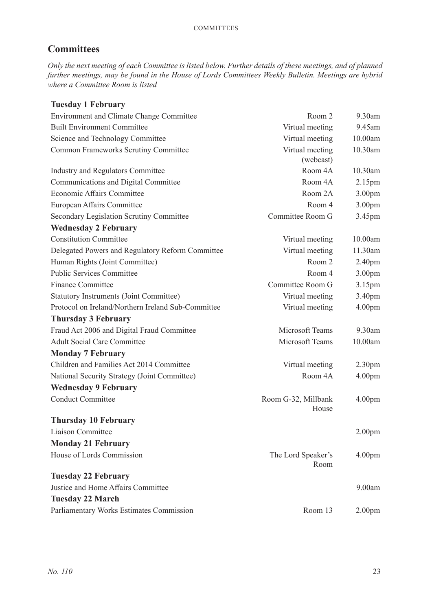### **Committees**

*Only the next meeting of each Committee is listed below. Further details of these meetings, and of planned further meetings, may be found in the House of Lords Committees Weekly Bulletin. Meetings are hybrid where a Committee Room is listed*

| <b>Tuesday 1 February</b>                          |                              |                    |
|----------------------------------------------------|------------------------------|--------------------|
| <b>Environment and Climate Change Committee</b>    | Room 2                       | 9.30am             |
| <b>Built Environment Committee</b>                 | Virtual meeting              | 9.45am             |
| Science and Technology Committee                   | Virtual meeting              | 10.00am            |
| Common Frameworks Scrutiny Committee               | Virtual meeting<br>(webcast) | 10.30am            |
| Industry and Regulators Committee                  | Room 4A                      | 10.30am            |
| Communications and Digital Committee               | Room 4A                      | 2.15 <sub>pm</sub> |
| Economic Affairs Committee                         | Room 2A                      | 3.00pm             |
| European Affairs Committee                         | Room 4                       | 3.00pm             |
| Secondary Legislation Scrutiny Committee           | Committee Room G             | 3.45pm             |
| <b>Wednesday 2 February</b>                        |                              |                    |
| <b>Constitution Committee</b>                      | Virtual meeting              | 10.00am            |
| Delegated Powers and Regulatory Reform Committee   | Virtual meeting              | 11.30am            |
| Human Rights (Joint Committee)                     | Room 2                       | 2.40pm             |
| <b>Public Services Committee</b>                   | Room 4                       | 3.00pm             |
| <b>Finance Committee</b>                           | Committee Room G             | 3.15pm             |
| <b>Statutory Instruments (Joint Committee)</b>     | Virtual meeting              | 3.40pm             |
| Protocol on Ireland/Northern Ireland Sub-Committee | Virtual meeting              | 4.00 <sub>pm</sub> |
| <b>Thursday 3 February</b>                         |                              |                    |
| Fraud Act 2006 and Digital Fraud Committee         | <b>Microsoft Teams</b>       | $9.30$ am          |
| <b>Adult Social Care Committee</b>                 | Microsoft Teams              | 10.00am            |
| <b>Monday 7 February</b>                           |                              |                    |
| Children and Families Act 2014 Committee           | Virtual meeting              | 2.30 <sub>pm</sub> |
| National Security Strategy (Joint Committee)       | Room 4A                      | 4.00 <sub>pm</sub> |
| <b>Wednesday 9 February</b>                        |                              |                    |
| <b>Conduct Committee</b>                           | Room G-32, Millbank<br>House | 4.00 <sub>pm</sub> |
| <b>Thursday 10 February</b>                        |                              |                    |
| Liaison Committee                                  |                              | 2.00 <sub>pm</sub> |
| <b>Monday 21 February</b>                          |                              |                    |
| House of Lords Commission                          | The Lord Speaker's<br>Room   | 4.00 <sub>pm</sub> |
| <b>Tuesday 22 February</b>                         |                              |                    |
| Justice and Home Affairs Committee                 |                              | 9.00am             |
| <b>Tuesday 22 March</b>                            |                              |                    |
| Parliamentary Works Estimates Commission           | Room 13                      | 2.00 <sub>pm</sub> |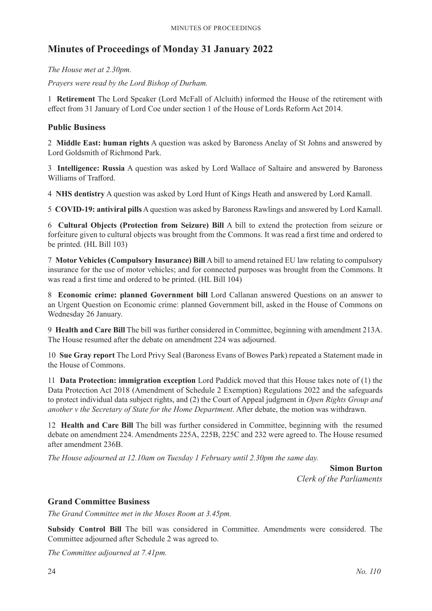### **Minutes of Proceedings of Monday 31 January 2022**

*The House met at 2.30pm.*

*Prayers were read by the Lord Bishop of Durham.*

1 **Retirement** The Lord Speaker (Lord McFall of Alcluith) informed the House of the retirement with effect from 31 January of Lord Coe under section 1 of the House of Lords Reform Act 2014.

### **Public Business**

2 **Middle East: human rights** A question was asked by Baroness Anelay of St Johns and answered by Lord Goldsmith of Richmond Park.

3 **Intelligence: Russia** A question was asked by Lord Wallace of Saltaire and answered by Baroness Williams of Trafford.

4 **NHS dentistry** A question was asked by Lord Hunt of Kings Heath and answered by Lord Kamall.

5 **COVID-19: antiviral pills** A question was asked by Baroness Rawlings and answered by Lord Kamall.

6 **Cultural Objects (Protection from Seizure) Bill** A bill to extend the protection from seizure or forfeiture given to cultural objects was brought from the Commons. It was read a first time and ordered to be printed. (HL Bill 103)

7 **Motor Vehicles (Compulsory Insurance) Bill** A bill to amend retained EU law relating to compulsory insurance for the use of motor vehicles; and for connected purposes was brought from the Commons. It was read a first time and ordered to be printed. (HL Bill 104)

8 **Economic crime: planned Government bill** Lord Callanan answered Questions on an answer to an Urgent Question on Economic crime: planned Government bill, asked in the House of Commons on Wednesday 26 January.

9 **Health and Care Bill** The bill was further considered in Committee, beginning with amendment 213A. The House resumed after the debate on amendment 224 was adjourned.

10 **Sue Gray report** The Lord Privy Seal (Baroness Evans of Bowes Park) repeated a Statement made in the House of Commons.

11 **Data Protection: immigration exception** Lord Paddick moved that this House takes note of (1) the Data Protection Act 2018 (Amendment of Schedule 2 Exemption) Regulations 2022 and the safeguards to protect individual data subject rights, and (2) the Court of Appeal judgment in *Open Rights Group and another v the Secretary of State for the Home Department*. After debate, the motion was withdrawn.

12 **Health and Care Bill** The bill was further considered in Committee, beginning with the resumed debate on amendment 224. Amendments 225A, 225B, 225C and 232 were agreed to. The House resumed after amendment 236B.

*The House adjourned at 12.10am on Tuesday 1 February until 2.30pm the same day.*

**Simon Burton** *Clerk of the Parliaments*

### **Grand Committee Business**

*The Grand Committee met in the Moses Room at 3.45pm.*

**Subsidy Control Bill** The bill was considered in Committee. Amendments were considered. The Committee adjourned after Schedule 2 was agreed to.

*The Committee adjourned at 7.41pm.*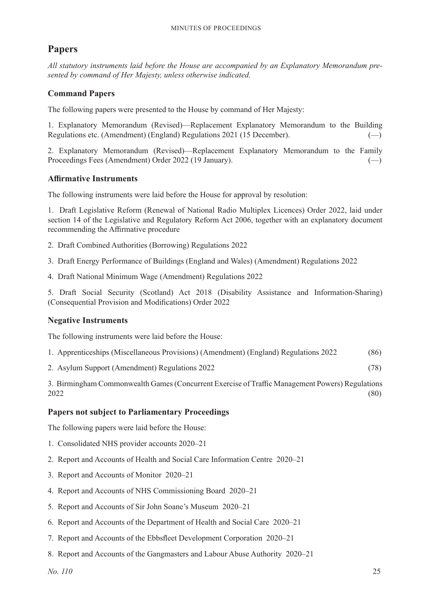### **Papers**

*All statutory instruments laid before the House are accompanied by an Explanatory Memorandum presented by command of Her Majesty, unless otherwise indicated.*

### **Command Papers**

The following papers were presented to the House by command of Her Majesty:

1. Explanatory Memorandum (Revised)—Replacement Explanatory Memorandum to the Building Regulations etc. (Amendment) (England) Regulations 2021 (15 December).  $(-)$ 

2. Explanatory Memorandum (Revised)—Replacement Explanatory Memorandum to the Family Proceedings Fees (Amendment) Order 2022 (19 January). (—)

### **Affirmative Instruments**

The following instruments were laid before the House for approval by resolution:

1. Draft Legislative Reform (Renewal of National Radio Multiplex Licences) Order 2022, laid under section 14 of the Legislative and Regulatory Reform Act 2006, together with an explanatory document recommending the Affirmative procedure

- 2. Draft Combined Authorities (Borrowing) Regulations 2022
- 3. Draft Energy Performance of Buildings (England and Wales) (Amendment) Regulations 2022
- 4. Draft National Minimum Wage (Amendment) Regulations 2022

5. Draft Social Security (Scotland) Act 2018 (Disability Assistance and Information-Sharing) (Consequential Provision and Modifications) Order 2022

### **Negative Instruments**

The following instruments were laid before the House:

- 1. Apprenticeships (Miscellaneous Provisions) (Amendment) (England) Regulations 2022 (86)
- 2. Asylum Support (Amendment) Regulations 2022 (78)

3. Birmingham Commonwealth Games(Concurrent Exercise of Traffic Management Powers) Regulations 2022 (80)

### **Papers not subject to Parliamentary Proceedings**

The following papers were laid before the House:

- 1. Consolidated NHS provider accounts 2020–21
- 2. Report and Accounts of Health and Social Care Information Centre 2020–21
- 3. Report and Accounts of Monitor 2020–21
- 4. Report and Accounts of NHS Commissioning Board 2020–21
- 5. Report and Accounts of Sir John Soane's Museum 2020–21
- 6. Report and Accounts of the Department of Health and Social Care 2020–21
- 7. Report and Accounts of the Ebbsfleet Development Corporation 2020–21
- 8. Report and Accounts of the Gangmasters and Labour Abuse Authority 2020–21

*No. 110* 25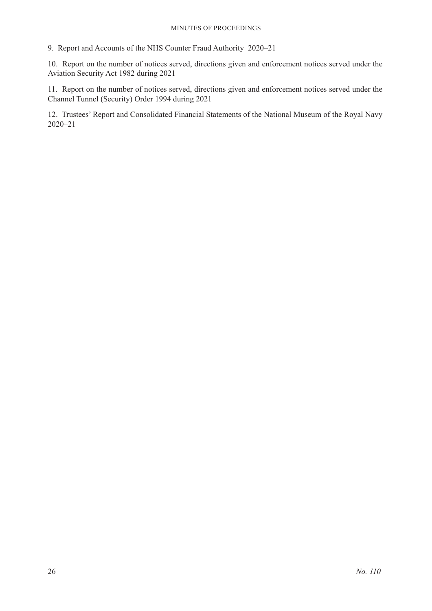#### Minutes of Proceedings

9. Report and Accounts of the NHS Counter Fraud Authority 2020–21

10. Report on the number of notices served, directions given and enforcement notices served under the Aviation Security Act 1982 during 2021

11. Report on the number of notices served, directions given and enforcement notices served under the Channel Tunnel (Security) Order 1994 during 2021

12. Trustees' Report and Consolidated Financial Statements of the National Museum of the Royal Navy 2020–21